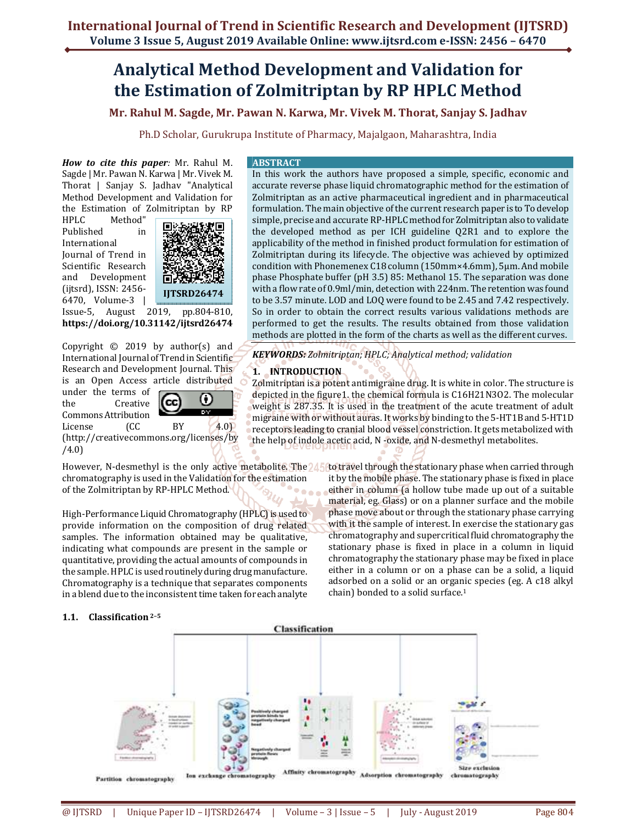## **Analytical Method Development and Validation for the Estimation of Zolmitriptan by RP HPLC Method**

**Mr. Rahul M. Sagde, Mr. Pawan N. Karwa, Mr. Vivek M. Thorat, Sanjay S. Jadhav**

Ph.D Scholar, Gurukrupa Institute of Pharmacy, Majalgaon, Maharashtra, India

*How to cite this paper:* Mr. Rahul M. Sagde | Mr. Pawan N. Karwa | Mr. Vivek M. Thorat | Sanjay S. Jadhav "Analytical Method Development and Validation for the Estimation of Zolmitriptan by RP

HPLC Method" Published in International Journal of Trend in Scientific Research and Development (ijtsrd), ISSN: 2456- 6470, Volume-3 |



Issue-5, August 2019, pp.804-810, **https://doi.org/10.31142/ijtsrd26474**

Copyright  $\odot$  2019 by author(s) and International Journal of Trend in Scientific Research and Development Journal. This is an Open Access article distributed under the terms of  $\left( \cdot \right)$ (cc the Creative Commons Attribution License (CC BY 4.0)

(http://creativecommons.org/licenses/by /4.0)



**ABSTRACT** 

In this work the authors have proposed a simple, specific, economic and accurate reverse phase liquid chromatographic method for the estimation of Zolmitriptan as an active pharmaceutical ingredient and in pharmaceutical formulation. The main objective of the current research paper is to To develop simple, precise and accurate RP-HPLC method for Zolmitriptan also to validate the developed method as per ICH guideline Q2R1 and to explore the applicability of the method in finished product formulation for estimation of Zolmitriptan during its lifecycle. The objective was achieved by optimized condition with Phonemenex C18 column (150mm×4.6mm), 5μm. And mobile phase Phosphate buffer (pH 3.5) 85: Methanol 15. The separation was done with a flow rate of 0.9ml/min, detection with 224nm. The retention was found to be 3.57 minute. LOD and LOQ were found to be 2.45 and 7.42 respectively. So in order to obtain the correct results various validations methods are performed to get the results. The results obtained from those validation methods are plotted in the form of the charts as well as the different curves.

*KEYWORDS: Zolmitriptan; HPLC; Analytical method; validation* 

## **1. INTRODUCTION**

Zolmitriptan is a potent antimigraine drug. It is white in color. The structure is depicted in the figure1. the chemical formula is C16H21N3O2. The molecular weight is 287.35. It is used in the treatment of the acute treatment of adult migraine with or without auras. It works by binding to the 5-HT1B and 5-HT1D receptors leading to cranial blood vessel constriction. It gets metabolized with the help of indole acetic acid, N -oxide, and N-desmethyl metabolites.

chain) bonded to a solid surface.<sup>1</sup>

phase move about or through the stationary phase carrying with it the sample of interest. In exercise the stationary gas chromatography and supercritical fluid chromatography the stationary phase is fixed in place in a column in liquid chromatography the stationary phase may be fixed in place either in a column or on a phase can be a solid, a liquid adsorbed on a solid or an organic species (eg. A c18 alkyl

However, N-desmethyl is the only active metabolite. The 245 to travel through the stationary phase when carried through chromatography is used in the Validation for the estimation of the Zolmitriptan by RP-HPLC Method. it by the mobile phase. The stationary phase is fixed in place either in column (a hollow tube made up out of a suitable material, eg. Glass) or on a planner surface and the mobile

Ō

High-Performance Liquid Chromatography (HPLC) is used to provide information on the composition of drug related samples. The information obtained may be qualitative, indicating what compounds are present in the sample or quantitative, providing the actual amounts of compounds in the sample. HPLC is used routinely during drug manufacture. Chromatography is a technique that separates components in a blend due to the inconsistent time taken for each analyte

## **1.1. Classification 2–5**

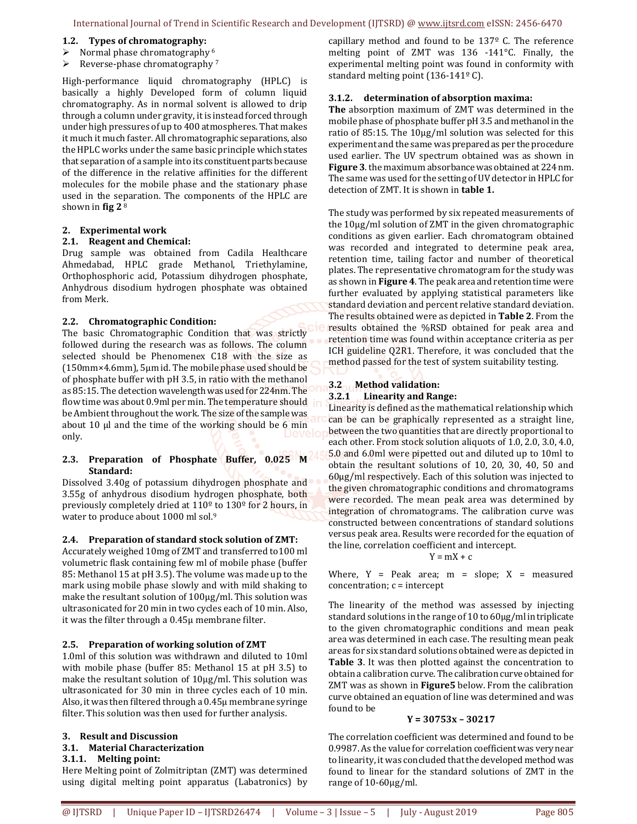#### **1.2. Types of chromatography:**

- $\triangleright$  Normal phase chromatography <sup>6</sup>
- $\triangleright$  Reverse-phase chromatography 7

High-performance liquid chromatography (HPLC) is basically a highly Developed form of column liquid chromatography. As in normal solvent is allowed to drip through a column under gravity, it is instead forced through under high pressures of up to 400 atmospheres. That makes it much it much faster. All chromatographic separations, also the HPLC works under the same basic principle which states that separation of a sample into its constituent parts because of the difference in the relative affinities for the different molecules for the mobile phase and the stationary phase used in the separation. The components of the HPLC are shown in **fig 2** <sup>8</sup>

#### **2. Experimental work**

#### **2.1. Reagent and Chemical:**

Drug sample was obtained from Cadila Healthcare Ahmedabad, HPLC grade Methanol, Triethylamine, Orthophosphoric acid, Potassium dihydrogen phosphate, Anhydrous disodium hydrogen phosphate was obtained from Merk.

#### **2.2. Chromatographic Condition:**

The basic Chromatographic Condition that was strictly followed during the research was as follows. The column selected should be Phenomenex C18 with the size as (150mm×4.6mm), 5μm id. The mobile phase used should be of phosphate buffer with pH 3.5, in ratio with the methanol as 85:15. The detection wavelength was used for 224nm. The flow time was about 0.9ml per min. The temperature should be Ambient throughout the work. The size of the sample was about 10 μl and the time of the working should be 6 min only.

## **2.3. Preparation of Phosphate Buffer, 0.025 M Standard:**

Dissolved 3.40g of potassium dihydrogen phosphate and 3.55g of anhydrous disodium hydrogen phosphate, both previously completely dried at 110º to 130º for 2 hours, in water to produce about 1000 ml sol.<sup>9</sup>

## **2.4. Preparation of standard stock solution of ZMT:**

Accurately weighed 10mg of ZMT and transferred to100 ml volumetric flask containing few ml of mobile phase (buffer 85: Methanol 15 at pH 3.5). The volume was made up to the mark using mobile phase slowly and with mild shaking to make the resultant solution of 100μg/ml. This solution was ultrasonicated for 20 min in two cycles each of 10 min. Also, it was the filter through a 0.45μ membrane filter.

## **2.5. Preparation of working solution of ZMT**

1.0ml of this solution was withdrawn and diluted to 10ml with mobile phase (buffer 85: Methanol 15 at pH 3.5) to make the resultant solution of 10μg/ml. This solution was ultrasonicated for 30 min in three cycles each of 10 min. Also, it was then filtered through a 0.45μ membrane syringe filter. This solution was then used for further analysis.

## **3. Result and Discussion**

#### **3.1. Material Characterization 3.1.1. Melting point:**

Here Melting point of Zolmitriptan (ZMT) was determined using digital melting point apparatus (Labatronics) by capillary method and found to be 137º C. The reference melting point of ZMT was 136 -141°C. Finally, the experimental melting point was found in conformity with standard melting point  $(136-141^{\circ} \text{ C})$ .

#### **3.1.2. determination of absorption maxima:**

**The** absorption maximum of ZMT was determined in the mobile phase of phosphate buffer pH 3.5 and methanol in the ratio of 85:15. The 10μg/ml solution was selected for this experiment and the same was prepared as per the procedure used earlier. The UV spectrum obtained was as shown in **Figure 3**. the maximum absorbance was obtained at 224 nm. The same was used for the setting of UV detector in HPLC for detection of ZMT. It is shown in **table 1.** 

The study was performed by six repeated measurements of the 10μg/ml solution of ZMT in the given chromatographic conditions as given earlier. Each chromatogram obtained was recorded and integrated to determine peak area, retention time, tailing factor and number of theoretical plates. The representative chromatogram for the study was as shown in **Figure 4**. The peak area and retention time were further evaluated by applying statistical parameters like standard deviation and percent relative standard deviation. The results obtained were as depicted in **Table 2**. From the results obtained the %RSD obtained for peak area and retention time was found within acceptance criteria as per ICH guideline Q2R1. Therefore, it was concluded that the method passed for the test of system suitability testing.

## **3.2 Method validation: 3.2.1 Linearity and Range:**

Linearity is defined as the mathematical relationship which can be can be graphically represented as a straight line, between the two quantities that are directly proportional to each other. From stock solution aliquots of 1.0, 2.0, 3.0, 4.0, 5.0 and 6.0ml were pipetted out and diluted up to 10ml to obtain the resultant solutions of 10, 20, 30, 40, 50 and 60μg/ml respectively. Each of this solution was injected to the given chromatographic conditions and chromatograms were recorded. The mean peak area was determined by integration of chromatograms. The calibration curve was constructed between concentrations of standard solutions versus peak area. Results were recorded for the equation of the line, correlation coefficient and intercept.

$$
Y = mX + c
$$

Where,  $Y = Peak area$ ; m = slope;  $X = measured$  $concentration; c = intercept$ 

The linearity of the method was assessed by injecting standard solutions in the range of 10 to 60μg/ml in triplicate to the given chromatographic conditions and mean peak area was determined in each case. The resulting mean peak areas for six standard solutions obtained were as depicted in **Table 3**. It was then plotted against the concentration to obtain a calibration curve. The calibration curve obtained for ZMT was as shown in **Figure5** below. From the calibration curve obtained an equation of line was determined and was found to be

## **Y = 30753x – 30217**

The correlation coefficient was determined and found to be 0.9987. As the value for correlation coefficient was very near to linearity, it was concluded that the developed method was found to linear for the standard solutions of ZMT in the range of 10-60μg/ml.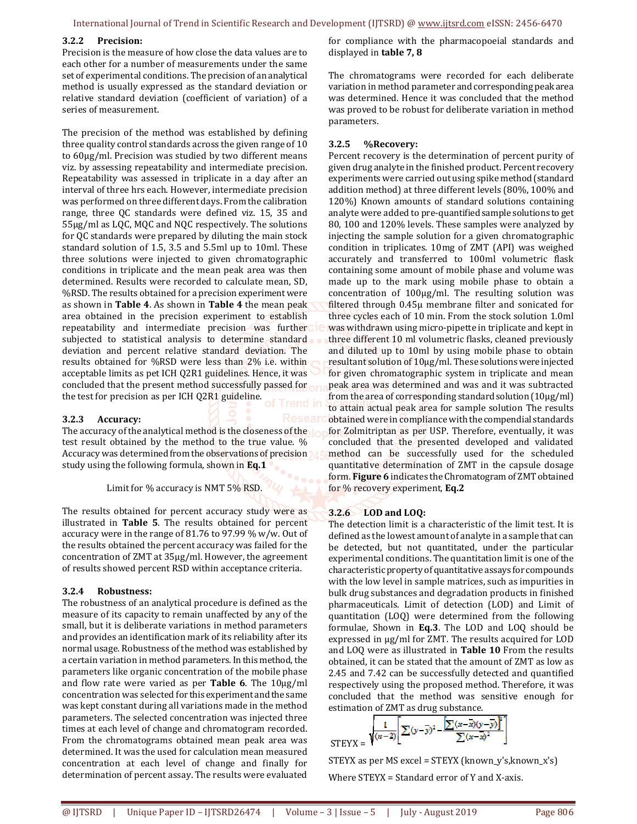#### **3.2.2 Precision:**

Precision is the measure of how close the data values are to each other for a number of measurements under the same set of experimental conditions. The precision of an analytical method is usually expressed as the standard deviation or relative standard deviation (coefficient of variation) of a series of measurement.

The precision of the method was established by defining three quality control standards across the given range of 10 to 60μg/ml. Precision was studied by two different means viz. by assessing repeatability and intermediate precision. Repeatability was assessed in triplicate in a day after an interval of three hrs each. However, intermediate precision was performed on three different days. From the calibration range, three QC standards were defined viz. 15, 35 and 55μg/ml as LQC, MQC and NQC respectively. The solutions for QC standards were prepared by diluting the main stock standard solution of 1.5, 3.5 and 5.5ml up to 10ml. These three solutions were injected to given chromatographic conditions in triplicate and the mean peak area was then determined. Results were recorded to calculate mean, SD, %RSD. The results obtained for a precision experiment were as shown in **Table 4**. As shown in **Table 4** the mean peak area obtained in the precision experiment to establish repeatability and intermediate precision was further subjected to statistical analysis to determine standard deviation and percent relative standard deviation. The results obtained for %RSD were less than 2% i.e. within acceptable limits as pet ICH Q2R1 guidelines. Hence, it was concluded that the present method successfully passed for the test for precision as per ICH Q2R1 guideline.

#### **3.2.3 Accuracy:**

The accuracy of the analytical method is the closeness of the  $\mathbf{I}$ test result obtained by the method to the true value. % Accuracy was determined from the observations of precision study using the following formula, shown in **Eq.1** 

#### Limit for % accuracy is NMT 5% RSD.

The results obtained for percent accuracy study were as illustrated in **Table 5**. The results obtained for percent accuracy were in the range of 81.76 to 97.99 % w/w. Out of the results obtained the percent accuracy was failed for the concentration of ZMT at 35μg/ml. However, the agreement of results showed percent RSD within acceptance criteria.

#### **3.2.4 Robustness:**

The robustness of an analytical procedure is defined as the measure of its capacity to remain unaffected by any of the small, but it is deliberate variations in method parameters and provides an identification mark of its reliability after its normal usage. Robustness of the method was established by a certain variation in method parameters. In this method, the parameters like organic concentration of the mobile phase and flow rate were varied as per **Table 6**. The 10μg/ml concentration was selected for this experiment and the same was kept constant during all variations made in the method parameters. The selected concentration was injected three times at each level of change and chromatogram recorded. From the chromatograms obtained mean peak area was determined. It was the used for calculation mean measured concentration at each level of change and finally for determination of percent assay. The results were evaluated

for compliance with the pharmacopoeial standards and displayed in **table 7, 8** 

The chromatograms were recorded for each deliberate variation in method parameter and corresponding peak area was determined. Hence it was concluded that the method was proved to be robust for deliberate variation in method parameters.

#### **3.2.5 %Recovery:**

Percent recovery is the determination of percent purity of given drug analyte in the finished product. Percent recovery experiments were carried out using spike method (standard addition method) at three different levels (80%, 100% and 120%) Known amounts of standard solutions containing analyte were added to pre-quantified sample solutions to get 80, 100 and 120% levels. These samples were analyzed by injecting the sample solution for a given chromatographic condition in triplicates. 10mg of ZMT (API) was weighed accurately and transferred to 100ml volumetric flask containing some amount of mobile phase and volume was made up to the mark using mobile phase to obtain a concentration of 100μg/ml. The resulting solution was filtered through 0.45μ membrane filter and sonicated for three cycles each of 10 min. From the stock solution 1.0ml was withdrawn using micro-pipette in triplicate and kept in three different 10 ml volumetric flasks, cleaned previously and diluted up to 10ml by using mobile phase to obtain resultant solution of 10μg/ml. These solutions were injected for given chromatographic system in triplicate and mean peak area was determined and was and it was subtracted from the area of corresponding standard solution (10μg/ml) to attain actual peak area for sample solution The results obtained were in compliance with the compendial standards for Zolmitriptan as per USP. Therefore, eventually, it was concluded that the presented developed and validated method can be successfully used for the scheduled quantitative determination of ZMT in the capsule dosage form. **Figure 6** indicates the Chromatogram of ZMT obtained for % recovery experiment, **Eq.2** 

#### **3.2.6 LOD and LOQ:**

The detection limit is a characteristic of the limit test. It is defined as the lowest amount of analyte in a sample that can be detected, but not quantitated, under the particular experimental conditions. The quantitation limit is one of the characteristic property of quantitative assays for compounds with the low level in sample matrices, such as impurities in bulk drug substances and degradation products in finished pharmaceuticals. Limit of detection (LOD) and Limit of quantitation (LOQ) were determined from the following formulae, Shown in **Eq.3**. The LOD and LOQ should be expressed in μg/ml for ZMT. The results acquired for LOD and LOQ were as illustrated in **Table 10** From the results obtained, it can be stated that the amount of ZMT as low as 2.45 and 7.42 can be successfully detected and quantified respectively using the proposed method. Therefore, it was concluded that the method was sensitive enough for estimation of ZMT as drug substance.

$$
\text{STEYX} = \sqrt{\frac{1}{(n-2)} \left[ \sum (y - \bar{y})^2 - \frac{\left[ \sum (x - \bar{x})(y - \bar{y}) \right]^2}{\sum (x - \bar{x})^2} \right]}
$$

STEYX as per MS excel = STEYX (known\_y's,known\_x's) Where STEYX = Standard error of Y and X-axis.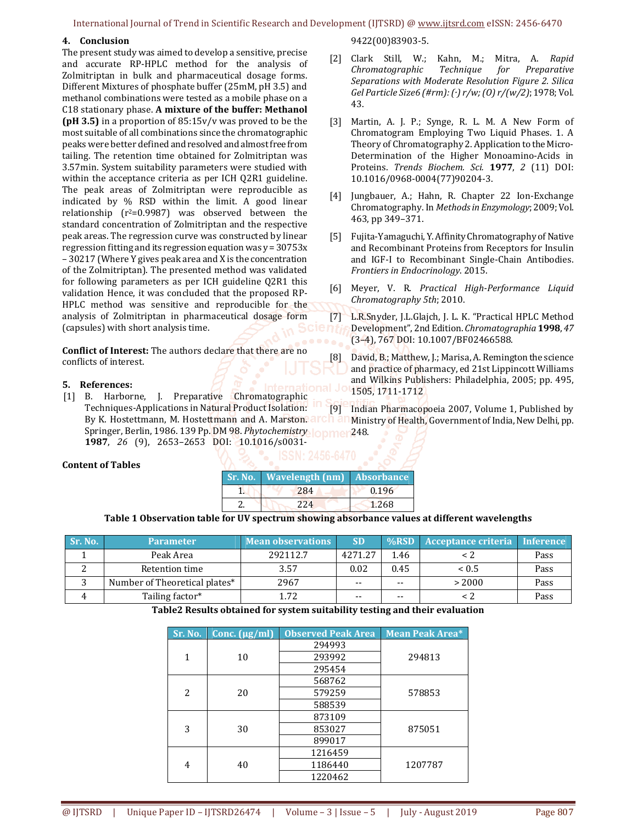## **4. Conclusion**

The present study was aimed to develop a sensitive, precise and accurate RP-HPLC method for the analysis of Zolmitriptan in bulk and pharmaceutical dosage forms. Different Mixtures of phosphate buffer (25mM, pH 3.5) and methanol combinations were tested as a mobile phase on a C18 stationary phase. **A mixture of the buffer: Methanol (pH 3.5)** in a proportion of 85:15v/v was proved to be the most suitable of all combinations since the chromatographic peaks were better defined and resolved and almost free from tailing. The retention time obtained for Zolmitriptan was 3.57min. System suitability parameters were studied with within the acceptance criteria as per ICH Q2R1 guideline. The peak areas of Zolmitriptan were reproducible as indicated by % RSD within the limit. A good linear relationship  $(r^2=0.9987)$  was observed between the standard concentration of Zolmitriptan and the respective peak areas. The regression curve was constructed by linear regression fitting and its regression equation was y = 30753x – 30217 (Where Y gives peak area and X is the concentration of the Zolmitriptan). The presented method was validated for following parameters as per ICH guideline Q2R1 this validation Hence, it was concluded that the proposed RP-HPLC method was sensitive and reproducible for the analysis of Zolmitriptan in pharmaceutical dosage form (capsules) with short analysis time.

**Conflict of Interest:** The authors declare that there are no conflicts of interest.

#### **5. References:**

[1] B. Harborne, J. Preparative Chromatographic Techniques-Applications in Natural Product Isolation: By K. Hostettmann, M. Hostettmann and A. Marston. arch an Ministry of Health, Government of India, New Delhi, pp. Springer, Berlin, 1986. 139 Pp. DM 98. *Phytochemistry* 248. **1987**, *26* (9), 2653–2653 DOI: 10.1016/s0031- [9] Indian Pharmacopoeia 2007, Volume 1, Published by

#### **Content of Tables**

| Sr. No.   Wavelength (nm)   Absorbance |       |
|----------------------------------------|-------|
| 284                                    | 0.196 |
| 224                                    | 1.268 |

#### **Table 1 Observation table for UV spectrum showing absorbance values at different wavelengths**

| . Sr. No. \ | <b>Parameter</b>              | Mean observations | <b>SD</b> | $\%$ RSD | Acceptance criteria Inference |      |
|-------------|-------------------------------|-------------------|-----------|----------|-------------------------------|------|
|             | Peak Area                     | 292112.7          | 4271.27   | 1.46     |                               | Pass |
|             | Retention time                | 3.57              | 0.02      | 0.45     | ~< 0.5                        | Pass |
|             | Number of Theoretical plates* | 2967              | $ -$      | $- -$    | > 2000                        | Pass |
|             | Tailing factor*               | 1.72              | --        | $- -$    |                               | Pass |

## **Table2 Results obtained for system suitability testing and their evaluation**

| Sr. No.        | Conc. $(\mu g/ml)$ | <b>Observed Peak Area</b> | <b>Mean Peak Area*</b> |  |
|----------------|--------------------|---------------------------|------------------------|--|
|                |                    | 294993                    |                        |  |
| 1              | 10                 | 293992                    | 294813                 |  |
|                |                    | 295454                    |                        |  |
|                |                    | 568762                    |                        |  |
| $\overline{c}$ | 20                 | 579259                    | 578853                 |  |
|                |                    | 588539                    |                        |  |
|                |                    | 873109                    |                        |  |
| 3              | 30                 | 853027                    | 875051                 |  |
|                |                    | 899017                    |                        |  |
|                |                    | 1216459                   |                        |  |
| 4              | 40                 | 1186440                   | 1207787                |  |
|                |                    | 1220462                   |                        |  |

## 9422(00)83903-5.

- [2] Clark Still, W.; Kahn, M.; Mitra, A. *Rapid Chromatographic Technique for Preparative Separations with Moderate Resolution Figure 2. Silica Gel Particle Size6 (#rm): (·) r/w; (O) r/(w/2)*; 1978; Vol. 43.
- [3] Martin, A. J. P.; Synge, R. L. M. A New Form of Chromatogram Employing Two Liquid Phases. 1. A Theory of Chromatography 2. Application to the Micro-Determination of the Higher Monoamino-Acids in Proteins. *Trends Biochem. Sci.* **1977**, *2* (11) DOI: 10.1016/0968-0004(77)90204-3.
- [4] Jungbauer, A.; Hahn, R. Chapter 22 Ion-Exchange Chromatography. In *Methods in Enzymology*; 2009; Vol. 463, pp 349–371.
- [5] Fujita-Yamaguchi, Y. Affinity Chromatography of Native and Recombinant Proteins from Receptors for Insulin and IGF-I to Recombinant Single-Chain Antibodies. *Frontiers in Endocrinology*. 2015.
- [6] Meyer, V. R. *Practical High-Performance Liquid Chromatography 5th*; 2010.
- [7] L.R.Snyder, J.L.Glajch, J. L. K. "Practical HPLC Method<br>**C http:** Development", 2nd Edition. *Chromatographia* **1998**, 47 Development", 2nd Edition. *Chromatographia* **1998**, *47* (3–4), 767 DOI: 10.1007/BF02466588.
	- [8] David, B.; Matthew, J.; Marisa, A. Remington the science and practice of pharmacy, ed 21st Lippincott Williams and Wilkins Publishers: Philadelphia, 2005; pp. 495, 1505, 1711-1712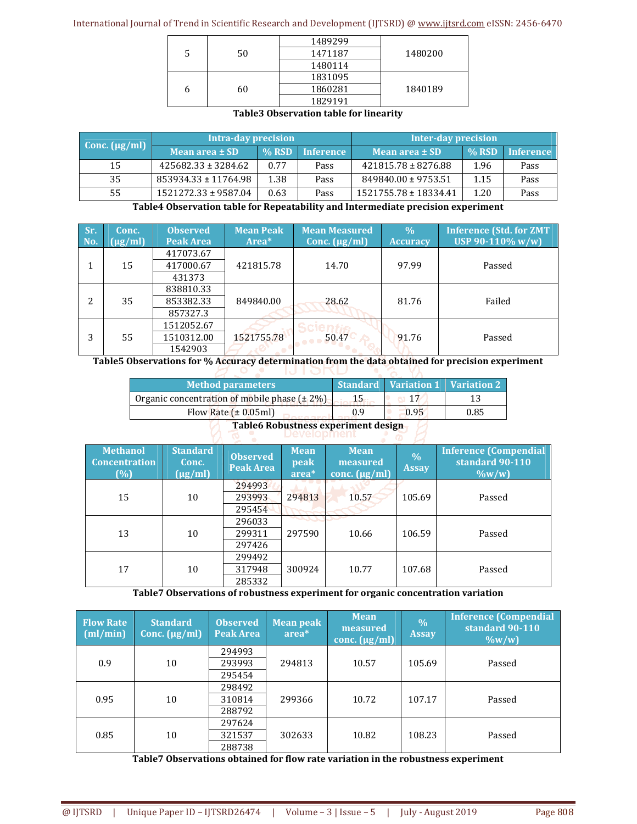|   |    | 1489299 |         |
|---|----|---------|---------|
|   | 50 | 1471187 | 1480200 |
|   |    | 1480114 |         |
|   |    | 1831095 |         |
| h | 60 | 1860281 | 1840189 |
|   |    | 1829191 |         |

## **Table3 Observation table for linearity**

| Conc. $(\mu g/ml)$ | Intra-day precision     |         |           | Inter-day precision     |              |           |  |
|--------------------|-------------------------|---------|-----------|-------------------------|--------------|-----------|--|
|                    | Mean area $\pm$ SD      | $%$ RSD | Inference | Mean area $\pm$ SD      | <b>% RSD</b> | Inference |  |
| 15                 | $425682.33 \pm 3284.62$ | 0.77    | Pass      | $421815.78 \pm 8276.88$ | 1.96         | Pass      |  |
| 35                 | 853934.33 ± 11764.98    | 1.38    | Pass      | 849840.00 ± 9753.51     | 1.15         | Pass      |  |
| 55                 | 1521272.33 ± 9587.04    | 0.63    | Pass      | 1521755.78 ± 18334.41   | 1.20         | Pass      |  |

**Table4 Observation table for Repeatability and Intermediate precision experiment** 

| Sr.<br>No. | Conc.<br>$\left[\mu g/ml\right]$ | <b>Observed</b><br>Peak Area | <b>Mean Peak</b><br>Area <sup>*</sup> | <b>Mean Measured</b><br>Conc. $(\mu g/ml)$ | $\frac{0}{0}$<br><b>Accuracy</b> | <b>Inference (Std. for ZMT</b><br>USP 90-110% $w/w$ |
|------------|----------------------------------|------------------------------|---------------------------------------|--------------------------------------------|----------------------------------|-----------------------------------------------------|
|            |                                  | 417073.67                    |                                       |                                            |                                  |                                                     |
|            | 15                               | 417000.67<br>431373          | 421815.78                             | 14.70                                      | 97.99                            | Passed                                              |
|            |                                  | 838810.33                    |                                       |                                            |                                  |                                                     |
| 2          | 35                               | 853382.33                    | 849840.00                             | 28.62                                      | 81.76                            | Failed                                              |
|            |                                  | 857327.3                     |                                       |                                            |                                  |                                                     |
|            |                                  | 1512052.67                   |                                       |                                            |                                  |                                                     |
| 3          | 55                               | 1510312.00                   | 1521755.78                            | 50.47                                      | 91.76                            | Passed                                              |
|            |                                  | 1542903                      |                                       |                                            |                                  |                                                     |

**Table5 Observations for % Accuracy determination from the data obtained for precision experiment**

| <b>Method parameters</b>                          |     | <b>Standard Variation 1 Variation 2</b> |      |  |  |  |
|---------------------------------------------------|-----|-----------------------------------------|------|--|--|--|
| Organic concentration of mobile phase $(\pm 2\%)$ | 15. |                                         |      |  |  |  |
| Flow Rate $(\pm 0.05$ ml)                         | 0.9 | 0.95                                    | 0.85 |  |  |  |
| Table C Behugtness cunominismt declare            |     |                                         |      |  |  |  |

# **Table6 Robustness experiment design Development**

| <b>Methanol</b><br><b>Concentration</b><br>(%) | <b>Standard</b><br>Conc.<br>$(\mu g/ml)$ | <b>Observed</b><br>Peak Area | <b>Mean</b><br>peak<br>area* | <b>Mean</b><br>measured<br>conc. $(\mu g/ml)$ | $\frac{0}{0}$<br><b>Assay</b> | <b>Inference (Compendial</b><br>standard 90-110<br>$\frac{0}{w}$ |
|------------------------------------------------|------------------------------------------|------------------------------|------------------------------|-----------------------------------------------|-------------------------------|------------------------------------------------------------------|
| 15                                             | 10                                       | 294993<br>293993<br>295454   | 294813                       | 10.57                                         | 105.69                        | Passed                                                           |
| 13                                             | 10                                       | 296033<br>299311<br>297426   | 297590                       | 10.66                                         | 106.59                        | Passed                                                           |
| 17                                             | 10                                       | 299492<br>317948<br>285332   | 300924                       | 10.77                                         | 107.68                        | Passed                                                           |

**Table7 Observations of robustness experiment for organic concentration variation** 

| <b>Flow Rate</b><br>$\lceil$ (ml/min) | <b>Standard</b><br>Conc. $(\mu g/ml)$ | <b>Observed</b><br>Peak Area | <b>Mean peak</b><br>$area*$ | <b>Mean</b><br>measured<br>conc. $(\mu g/ml)$ | $\frac{0}{0}$<br><b>Assay</b> | <b>Inference (Compendial</b><br>standard 90-110<br>$\frac{0}{w}$ |
|---------------------------------------|---------------------------------------|------------------------------|-----------------------------|-----------------------------------------------|-------------------------------|------------------------------------------------------------------|
|                                       |                                       | 294993                       |                             |                                               |                               |                                                                  |
| 0.9                                   | 10                                    | 293993                       | 294813                      | 10.57                                         | 105.69                        | Passed                                                           |
|                                       |                                       | 295454                       |                             |                                               |                               |                                                                  |
|                                       |                                       | 298492                       |                             |                                               |                               |                                                                  |
| 0.95                                  | 10                                    | 310814                       | 299366                      | 10.72                                         | 107.17                        | Passed                                                           |
|                                       |                                       | 288792                       |                             |                                               |                               |                                                                  |
|                                       |                                       | 297624                       |                             |                                               |                               |                                                                  |
| 0.85                                  | 10                                    | 321537                       | 302633                      | 10.82                                         | 108.23                        | Passed                                                           |
|                                       |                                       | 288738                       |                             |                                               |                               |                                                                  |

**Table7 Observations obtained for flow rate variation in the robustness experiment**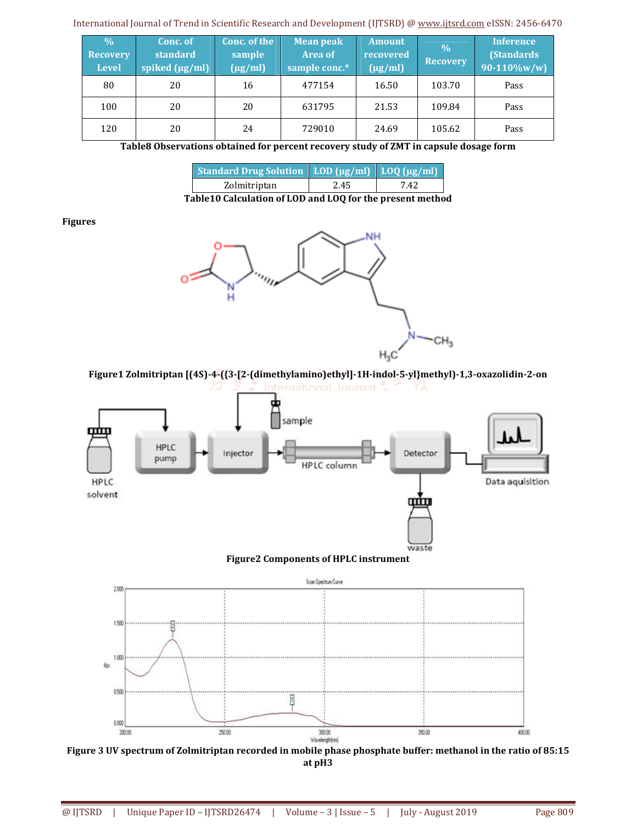| $\frac{0}{0}$<br><b>Recovery</b><br><b>Level</b> | Conc. of<br>standard<br>spiked (µg/ml) | Conc. of the<br>sample<br>$(\mu g/ml)$ | <b>Mean peak</b><br><b>Area of</b><br>sample conc.* | <b>Amount</b><br>recovered<br>$(\mu g/ml)$ | $\frac{0}{0}$<br><b>Recovery</b> | <b>Inference</b><br><b>(Standards)</b><br>$90 - 110\%$ w/w) |
|--------------------------------------------------|----------------------------------------|----------------------------------------|-----------------------------------------------------|--------------------------------------------|----------------------------------|-------------------------------------------------------------|
| 80                                               | 20                                     | 16                                     | 477154                                              | 16.50                                      | 103.70                           | Pass                                                        |
| 100                                              | 20                                     | 20                                     | 631795                                              | 21.53                                      | 109.84                           | Pass                                                        |
| 120                                              | 20                                     | 24                                     | 729010                                              | 24.69                                      | 105.62                           | Pass                                                        |

**Table8 Observations obtained for percent recovery study of ZMT in capsule dosage form** 

| <b>Standard Drug Solution</b> LOD (µg/ml) LOQ (µg/ml) |      |      |
|-------------------------------------------------------|------|------|
| Zolmitriptan                                          | 2.45 | 7.42 |
|                                                       |      |      |

**Table10 Calculation of LOD and LOQ for the present method** 

## **Figures**



**Figure1 Zolmitriptan [(4S)-4-({3-[2-(dimethylamino)ethyl]-1H-indol-5-yl}methyl)-1,3-oxazolidin-2-on**